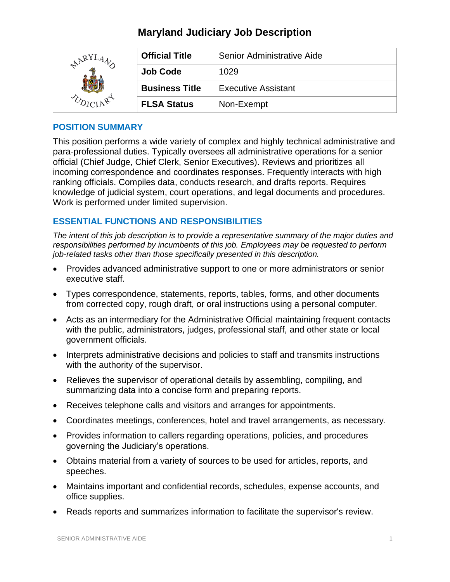| ARY <sup>T</sup> | <b>Official Title</b> | Senior Administrative Aide |
|------------------|-----------------------|----------------------------|
|                  | <b>Job Code</b>       | 1029                       |
|                  | <b>Business Title</b> | <b>Executive Assistant</b> |
|                  | <b>FLSA Status</b>    | Non-Exempt                 |

### **POSITION SUMMARY**

This position performs a wide variety of complex and highly technical administrative and para-professional duties. Typically oversees all administrative operations for a senior official (Chief Judge, Chief Clerk, Senior Executives). Reviews and prioritizes all incoming correspondence and coordinates responses. Frequently interacts with high ranking officials. Compiles data, conducts research, and drafts reports. Requires knowledge of judicial system, court operations, and legal documents and procedures. Work is performed under limited supervision.

### **ESSENTIAL FUNCTIONS AND RESPONSIBILITIES**

*The intent of this job description is to provide a representative summary of the major duties and responsibilities performed by incumbents of this job. Employees may be requested to perform job-related tasks other than those specifically presented in this description.*

- Provides advanced administrative support to one or more administrators or senior executive staff.
- Types correspondence, statements, reports, tables, forms, and other documents from corrected copy, rough draft, or oral instructions using a personal computer.
- Acts as an intermediary for the Administrative Official maintaining frequent contacts with the public, administrators, judges, professional staff, and other state or local government officials.
- Interprets administrative decisions and policies to staff and transmits instructions with the authority of the supervisor.
- Relieves the supervisor of operational details by assembling, compiling, and summarizing data into a concise form and preparing reports.
- Receives telephone calls and visitors and arranges for appointments.
- Coordinates meetings, conferences, hotel and travel arrangements, as necessary.
- Provides information to callers regarding operations, policies, and procedures governing the Judiciary's operations.
- Obtains material from a variety of sources to be used for articles, reports, and speeches.
- Maintains important and confidential records, schedules, expense accounts, and office supplies.
- Reads reports and summarizes information to facilitate the supervisor's review.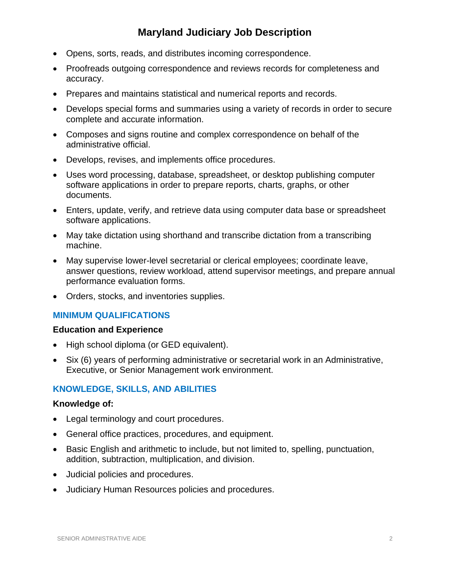- Opens, sorts, reads, and distributes incoming correspondence.
- Proofreads outgoing correspondence and reviews records for completeness and accuracy.
- Prepares and maintains statistical and numerical reports and records.
- Develops special forms and summaries using a variety of records in order to secure complete and accurate information.
- Composes and signs routine and complex correspondence on behalf of the administrative official.
- Develops, revises, and implements office procedures.
- Uses word processing, database, spreadsheet, or desktop publishing computer software applications in order to prepare reports, charts, graphs, or other documents.
- Enters, update, verify, and retrieve data using computer data base or spreadsheet software applications.
- May take dictation using shorthand and transcribe dictation from a transcribing machine.
- May supervise lower-level secretarial or clerical employees; coordinate leave, answer questions, review workload, attend supervisor meetings, and prepare annual performance evaluation forms.
- Orders, stocks, and inventories supplies.

#### **MINIMUM QUALIFICATIONS**

#### **Education and Experience**

- High school diploma (or GED equivalent).
- Six (6) years of performing administrative or secretarial work in an Administrative, Executive, or Senior Management work environment.

#### **KNOWLEDGE, SKILLS, AND ABILITIES**

#### **Knowledge of:**

- Legal terminology and court procedures.
- General office practices, procedures, and equipment.
- Basic English and arithmetic to include, but not limited to, spelling, punctuation, addition, subtraction, multiplication, and division.
- Judicial policies and procedures.
- Judiciary Human Resources policies and procedures.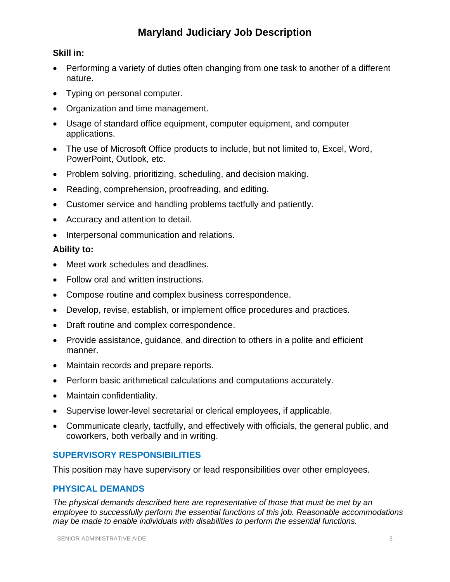### **Skill in:**

- Performing a variety of duties often changing from one task to another of a different nature.
- Typing on personal computer.
- Organization and time management.
- Usage of standard office equipment, computer equipment, and computer applications.
- The use of Microsoft Office products to include, but not limited to, Excel, Word, PowerPoint, Outlook, etc.
- Problem solving, prioritizing, scheduling, and decision making.
- Reading, comprehension, proofreading, and editing.
- Customer service and handling problems tactfully and patiently.
- Accuracy and attention to detail.
- Interpersonal communication and relations.

### **Ability to:**

- Meet work schedules and deadlines.
- Follow oral and written instructions.
- Compose routine and complex business correspondence.
- Develop, revise, establish, or implement office procedures and practices.
- Draft routine and complex correspondence.
- Provide assistance, guidance, and direction to others in a polite and efficient manner.
- Maintain records and prepare reports.
- Perform basic arithmetical calculations and computations accurately.
- Maintain confidentiality.
- Supervise lower-level secretarial or clerical employees, if applicable.
- Communicate clearly, tactfully, and effectively with officials, the general public, and coworkers, both verbally and in writing.

### **SUPERVISORY RESPONSIBILITIES**

This position may have supervisory or lead responsibilities over other employees.

### **PHYSICAL DEMANDS**

*The physical demands described here are representative of those that must be met by an employee to successfully perform the essential functions of this job. Reasonable accommodations may be made to enable individuals with disabilities to perform the essential functions.*